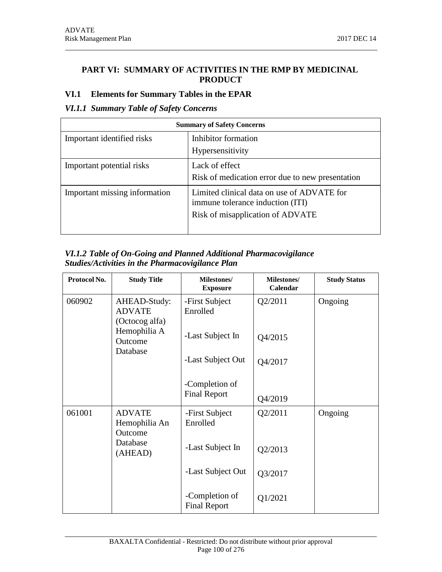## **PART VI: SUMMARY OF ACTIVITIES IN THE RMP BY MEDICINAL PRODUCT**

### **VI.1 Elements for Summary Tables in the EPAR**

# *VI.1.1 Summary Table of Safety Concerns*

| <b>Summary of Safety Concerns</b> |                                                                                                                    |  |
|-----------------------------------|--------------------------------------------------------------------------------------------------------------------|--|
| Important identified risks        | Inhibitor formation                                                                                                |  |
|                                   | Hypersensitivity                                                                                                   |  |
| Important potential risks         | Lack of effect                                                                                                     |  |
|                                   | Risk of medication error due to new presentation                                                                   |  |
| Important missing information     | Limited clinical data on use of ADVATE for<br>immune tolerance induction (ITI)<br>Risk of misapplication of ADVATE |  |

### *VI.1.2 Table of On-Going and Planned Additional Pharmacovigilance Studies/Activities in the Pharmacovigilance Plan*

| Protocol No. | <b>Study Title</b>                              | Milestones/<br><b>Exposure</b>        | Milestones/<br>Calendar | <b>Study Status</b> |
|--------------|-------------------------------------------------|---------------------------------------|-------------------------|---------------------|
| 060902       | AHEAD-Study:<br><b>ADVATE</b><br>(Octocog alfa) | -First Subject<br>Enrolled            | Q2/2011                 | Ongoing             |
|              | Hemophilia A<br>Outcome<br>Database             | -Last Subject In                      | Q4/2015                 |                     |
|              |                                                 | -Last Subject Out                     | Q4/2017                 |                     |
|              |                                                 | -Completion of<br><b>Final Report</b> | Q4/2019                 |                     |
| 061001       | <b>ADVATE</b><br>Hemophilia An<br>Outcome       | -First Subject<br>Enrolled            | Q2/2011                 | Ongoing             |
|              | Database<br>(AHEAD)                             | -Last Subject In                      | Q2/2013                 |                     |
|              |                                                 | -Last Subject Out                     | Q3/2017                 |                     |
|              |                                                 | -Completion of<br><b>Final Report</b> | Q1/2021                 |                     |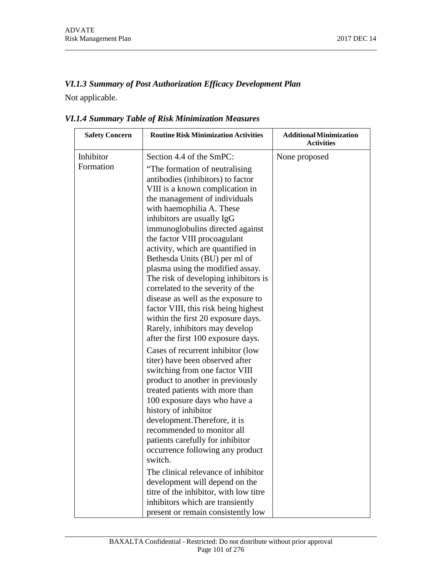# *VI.1.3 Summary of Post Authorization Efficacy Development Plan*

Not applicable.

| <b>Safety Concern</b> | <b>Routine Risk Minimization Activities</b>                                                                                                                                                                                                                                                                                                                                                                                                                                                                                                                                                                                                                                                                                                                                                                                                                                                                                                                                                                                                                                                 | <b>Additional Minimization</b><br><b>Activities</b> |
|-----------------------|---------------------------------------------------------------------------------------------------------------------------------------------------------------------------------------------------------------------------------------------------------------------------------------------------------------------------------------------------------------------------------------------------------------------------------------------------------------------------------------------------------------------------------------------------------------------------------------------------------------------------------------------------------------------------------------------------------------------------------------------------------------------------------------------------------------------------------------------------------------------------------------------------------------------------------------------------------------------------------------------------------------------------------------------------------------------------------------------|-----------------------------------------------------|
| Inhibitor             | Section 4.4 of the SmPC:                                                                                                                                                                                                                                                                                                                                                                                                                                                                                                                                                                                                                                                                                                                                                                                                                                                                                                                                                                                                                                                                    | None proposed                                       |
| Formation             | "The formation of neutralising<br>antibodies (inhibitors) to factor<br>VIII is a known complication in<br>the management of individuals<br>with haemophilia A. These<br>inhibitors are usually IgG<br>immunoglobulins directed against<br>the factor VIII procoagulant<br>activity, which are quantified in<br>Bethesda Units (BU) per ml of<br>plasma using the modified assay.<br>The risk of developing inhibitors is<br>correlated to the severity of the<br>disease as well as the exposure to<br>factor VIII, this risk being highest<br>within the first 20 exposure days.<br>Rarely, inhibitors may develop<br>after the first 100 exposure days.<br>Cases of recurrent inhibitor (low<br>titer) have been observed after<br>switching from one factor VIII<br>product to another in previously<br>treated patients with more than<br>100 exposure days who have a<br>history of inhibitor<br>development. Therefore, it is<br>recommended to monitor all<br>patients carefully for inhibitor<br>occurrence following any product<br>switch.<br>The clinical relevance of inhibitor |                                                     |
|                       | development will depend on the<br>titre of the inhibitor, with low titre                                                                                                                                                                                                                                                                                                                                                                                                                                                                                                                                                                                                                                                                                                                                                                                                                                                                                                                                                                                                                    |                                                     |
|                       | inhibitors which are transiently                                                                                                                                                                                                                                                                                                                                                                                                                                                                                                                                                                                                                                                                                                                                                                                                                                                                                                                                                                                                                                                            |                                                     |
|                       | present or remain consistently low                                                                                                                                                                                                                                                                                                                                                                                                                                                                                                                                                                                                                                                                                                                                                                                                                                                                                                                                                                                                                                                          |                                                     |

# *VI.1.4 Summary Table of Risk Minimization Measures*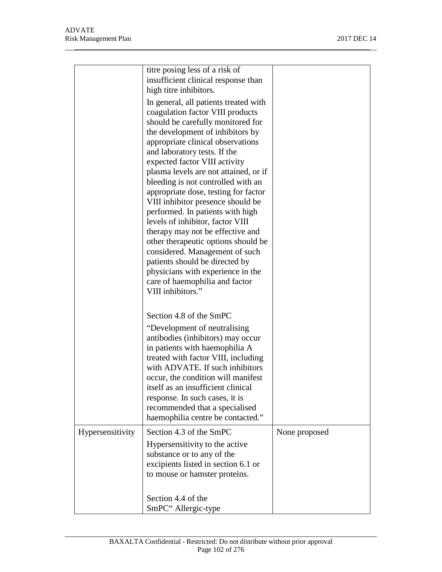|                  | titre posing less of a risk of<br>insufficient clinical response than<br>high titre inhibitors.<br>In general, all patients treated with<br>coagulation factor VIII products<br>should be carefully monitored for<br>the development of inhibitors by<br>appropriate clinical observations<br>and laboratory tests. If the<br>expected factor VIII activity<br>plasma levels are not attained, or if<br>bleeding is not controlled with an<br>appropriate dose, testing for factor<br>VIII inhibitor presence should be<br>performed. In patients with high<br>levels of inhibitor, factor VIII<br>therapy may not be effective and<br>other therapeutic options should be<br>considered. Management of such<br>patients should be directed by<br>physicians with experience in the<br>care of haemophilia and factor<br>VIII inhibitors." |               |
|------------------|--------------------------------------------------------------------------------------------------------------------------------------------------------------------------------------------------------------------------------------------------------------------------------------------------------------------------------------------------------------------------------------------------------------------------------------------------------------------------------------------------------------------------------------------------------------------------------------------------------------------------------------------------------------------------------------------------------------------------------------------------------------------------------------------------------------------------------------------|---------------|
|                  | Section 4.8 of the SmPC<br>"Development of neutralising<br>antibodies (inhibitors) may occur<br>in patients with haemophilia A<br>treated with factor VIII, including<br>with ADVATE. If such inhibitors<br>occur, the condition will manifest<br>itself as an insufficient clinical<br>response. In such cases, it is<br>recommended that a specialised<br>haemophilia centre be contacted."                                                                                                                                                                                                                                                                                                                                                                                                                                              |               |
| Hypersensitivity | Section 4.3 of the SmPC<br>Hypersensitivity to the active<br>substance or to any of the<br>excipients listed in section 6.1 or<br>to mouse or hamster proteins.                                                                                                                                                                                                                                                                                                                                                                                                                                                                                                                                                                                                                                                                            | None proposed |
|                  | Section 4.4 of the<br>SmPC" Allergic-type                                                                                                                                                                                                                                                                                                                                                                                                                                                                                                                                                                                                                                                                                                                                                                                                  |               |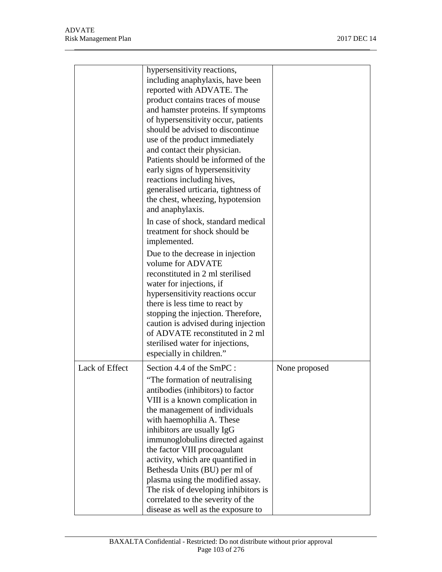|                | hypersensitivity reactions,<br>including anaphylaxis, have been<br>reported with ADVATE. The<br>product contains traces of mouse<br>and hamster proteins. If symptoms<br>of hypersensitivity occur, patients<br>should be advised to discontinue<br>use of the product immediately<br>and contact their physician.<br>Patients should be informed of the<br>early signs of hypersensitivity<br>reactions including hives,<br>generalised urticaria, tightness of<br>the chest, wheezing, hypotension<br>and anaphylaxis.<br>In case of shock, standard medical |               |
|----------------|----------------------------------------------------------------------------------------------------------------------------------------------------------------------------------------------------------------------------------------------------------------------------------------------------------------------------------------------------------------------------------------------------------------------------------------------------------------------------------------------------------------------------------------------------------------|---------------|
|                | treatment for shock should be<br>implemented.<br>Due to the decrease in injection<br>volume for ADVATE<br>reconstituted in 2 ml sterilised<br>water for injections, if<br>hypersensitivity reactions occur<br>there is less time to react by<br>stopping the injection. Therefore,<br>caution is advised during injection<br>of ADVATE reconstituted in 2 ml<br>sterilised water for injections,<br>especially in children."                                                                                                                                   |               |
| Lack of Effect | Section 4.4 of the SmPC :<br>"The formation of neutralising<br>antibodies (inhibitors) to factor<br>VIII is a known complication in<br>the management of individuals<br>with haemophilia A. These<br>inhibitors are usually IgG<br>immunoglobulins directed against<br>the factor VIII procoagulant<br>activity, which are quantified in<br>Bethesda Units (BU) per ml of<br>plasma using the modified assay.<br>The risk of developing inhibitors is<br>correlated to the severity of the<br>disease as well as the exposure to                               | None proposed |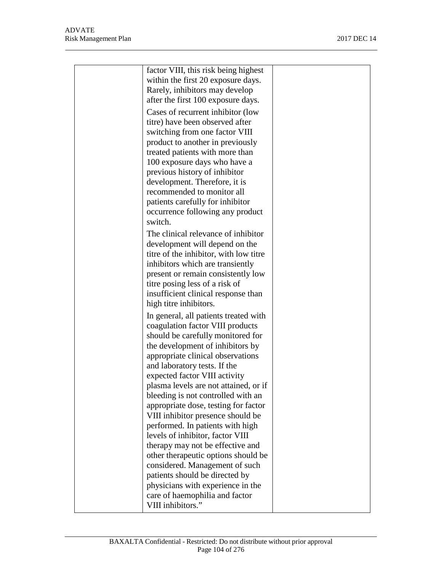| factor VIII, this risk being highest<br>within the first 20 exposure days.<br>Rarely, inhibitors may develop<br>after the first 100 exposure days.<br>Cases of recurrent inhibitor (low<br>titre) have been observed after<br>switching from one factor VIII<br>product to another in previously<br>treated patients with more than<br>100 exposure days who have a<br>previous history of inhibitor<br>development. Therefore, it is<br>recommended to monitor all |  |
|---------------------------------------------------------------------------------------------------------------------------------------------------------------------------------------------------------------------------------------------------------------------------------------------------------------------------------------------------------------------------------------------------------------------------------------------------------------------|--|
| patients carefully for inhibitor<br>occurrence following any product<br>switch.                                                                                                                                                                                                                                                                                                                                                                                     |  |
| The clinical relevance of inhibitor<br>development will depend on the<br>titre of the inhibitor, with low titre<br>inhibitors which are transiently<br>present or remain consistently low<br>titre posing less of a risk of<br>insufficient clinical response than<br>high titre inhibitors.                                                                                                                                                                        |  |
| In general, all patients treated with<br>coagulation factor VIII products<br>should be carefully monitored for<br>the development of inhibitors by<br>appropriate clinical observations<br>and laboratory tests. If the<br>expected factor VIII activity<br>plasma levels are not attained, or if<br>bleeding is not controlled with an                                                                                                                             |  |
| appropriate dose, testing for factor<br>VIII inhibitor presence should be<br>performed. In patients with high<br>levels of inhibitor, factor VIII<br>therapy may not be effective and<br>other therapeutic options should be                                                                                                                                                                                                                                        |  |
| considered. Management of such<br>patients should be directed by<br>physicians with experience in the<br>care of haemophilia and factor<br>VIII inhibitors."                                                                                                                                                                                                                                                                                                        |  |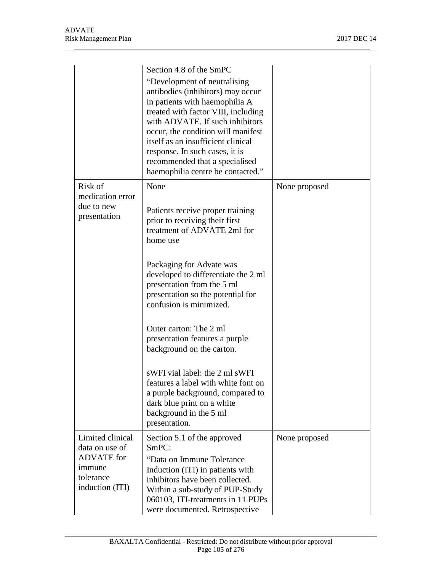|                                                             | Section 4.8 of the SmPC                                                                                                                                                                                                                                                                                                                                            |               |
|-------------------------------------------------------------|--------------------------------------------------------------------------------------------------------------------------------------------------------------------------------------------------------------------------------------------------------------------------------------------------------------------------------------------------------------------|---------------|
|                                                             | "Development of neutralising<br>antibodies (inhibitors) may occur<br>in patients with haemophilia A<br>treated with factor VIII, including<br>with ADVATE. If such inhibitors<br>occur, the condition will manifest<br>itself as an insufficient clinical<br>response. In such cases, it is<br>recommended that a specialised<br>haemophilia centre be contacted." |               |
| Risk of<br>medication error                                 | None                                                                                                                                                                                                                                                                                                                                                               | None proposed |
| due to new<br>presentation                                  | Patients receive proper training<br>prior to receiving their first<br>treatment of ADVATE 2ml for<br>home use                                                                                                                                                                                                                                                      |               |
|                                                             | Packaging for Advate was<br>developed to differentiate the 2 ml<br>presentation from the 5 ml<br>presentation so the potential for<br>confusion is minimized.                                                                                                                                                                                                      |               |
|                                                             | Outer carton: The 2 ml<br>presentation features a purple<br>background on the carton.                                                                                                                                                                                                                                                                              |               |
|                                                             | sWFI vial label: the 2 ml sWFI<br>features a label with white font on<br>a purple background, compared to<br>dark blue print on a white<br>background in the 5 ml<br>presentation.                                                                                                                                                                                 |               |
| Limited clinical<br>data on use of                          | Section 5.1 of the approved<br>SmPC:                                                                                                                                                                                                                                                                                                                               | None proposed |
| <b>ADVATE</b> for<br>immune<br>tolerance<br>induction (ITI) | "Data on Immune Tolerance"<br>Induction (ITI) in patients with<br>inhibitors have been collected.<br>Within a sub-study of PUP-Study<br>060103, ITI-treatments in 11 PUPs<br>were documented. Retrospective                                                                                                                                                        |               |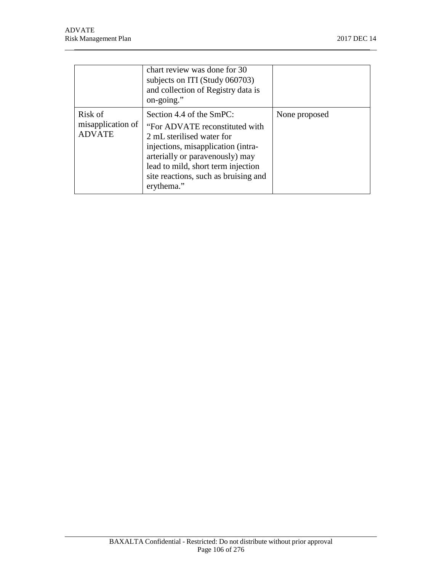|                                               | chart review was done for 30<br>subjects on ITI (Study 060703)<br>and collection of Registry data is<br>on-going."                                                                                                                                           |               |
|-----------------------------------------------|--------------------------------------------------------------------------------------------------------------------------------------------------------------------------------------------------------------------------------------------------------------|---------------|
| Risk of<br>misapplication of<br><b>ADVATE</b> | Section 4.4 of the SmPC:<br>"For ADVATE reconstituted with<br>2 mL sterilised water for<br>injections, misapplication (intra-<br>arterially or paravenously) may<br>lead to mild, short term injection<br>site reactions, such as bruising and<br>erythema." | None proposed |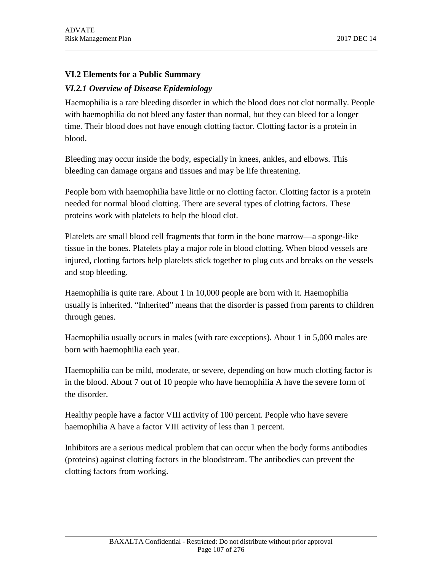# **VI.2 Elements for a Public Summary**

## *VI.2.1 Overview of Disease Epidemiology*

Haemophilia is a rare bleeding disorder in which the blood does not clot normally. People with haemophilia do not bleed any faster than normal, but they can bleed for a longer time. Their blood does not have enough clotting factor. Clotting factor is a protein in blood.

Bleeding may occur inside the body, especially in knees, ankles, and elbows. This bleeding can damage organs and tissues and may be life threatening.

People born with haemophilia have little or no clotting factor. Clotting factor is a protein needed for normal blood clotting. There are several types of clotting factors. These proteins work with platelets to help the blood clot.

Platelets are small blood cell fragments that form in the bone marrow—a sponge-like tissue in the bones. Platelets play a major role in blood clotting. When blood vessels are injured, clotting factors help platelets stick together to plug cuts and breaks on the vessels and stop bleeding.

Haemophilia is quite rare. About 1 in 10,000 people are born with it. Haemophilia usually is inherited. "Inherited" means that the disorder is passed from parents to children through genes.

Haemophilia usually occurs in males (with rare exceptions). About 1 in 5,000 males are born with haemophilia each year.

Haemophilia can be mild, moderate, or severe, depending on how much clotting factor is in the blood. About 7 out of 10 people who have hemophilia A have the severe form of the disorder.

Healthy people have a factor VIII activity of 100 percent. People who have severe haemophilia A have a factor VIII activity of less than 1 percent.

Inhibitors are a serious medical problem that can occur when the body forms antibodies (proteins) against clotting factors in the bloodstream. The antibodies can prevent the clotting factors from working.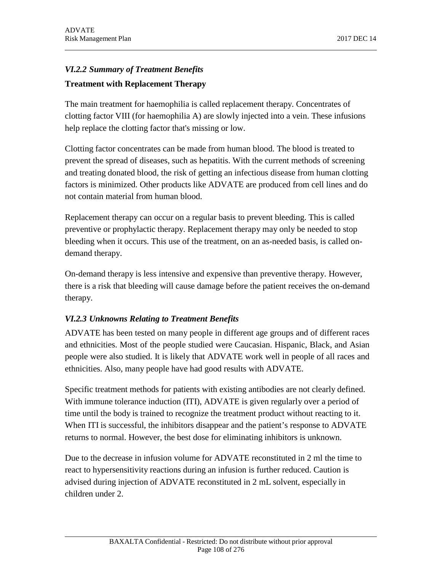# *VI.2.2 Summary of Treatment Benefits* **Treatment with Replacement Therapy**

The main treatment for haemophilia is called replacement therapy. Concentrates of clotting factor VIII (for haemophilia A) are slowly injected into a vein. These infusions help replace the clotting factor that's missing or low.

Clotting factor concentrates can be made from human blood. The blood is treated to prevent the spread of diseases, such as hepatitis. With the current methods of screening and treating donated blood, the risk of getting an infectious disease from human clotting factors is minimized. Other products like ADVATE are produced from cell lines and do not contain material from human blood.

Replacement therapy can occur on a regular basis to prevent bleeding. This is called preventive or prophylactic therapy. Replacement therapy may only be needed to stop bleeding when it occurs. This use of the treatment, on an as-needed basis, is called ondemand therapy.

On-demand therapy is less intensive and expensive than preventive therapy. However, there is a risk that bleeding will cause damage before the patient receives the on-demand therapy.

# *VI.2.3 Unknowns Relating to Treatment Benefits*

ADVATE has been tested on many people in different age groups and of different races and ethnicities. Most of the people studied were Caucasian. Hispanic, Black, and Asian people were also studied. It is likely that ADVATE work well in people of all races and ethnicities. Also, many people have had good results with ADVATE.

Specific treatment methods for patients with existing antibodies are not clearly defined. With immune tolerance induction (ITI), ADVATE is given regularly over a period of time until the body is trained to recognize the treatment product without reacting to it. When ITI is successful, the inhibitors disappear and the patient's response to ADVATE returns to normal. However, the best dose for eliminating inhibitors is unknown.

Due to the decrease in infusion volume for ADVATE reconstituted in 2 ml the time to react to hypersensitivity reactions during an infusion is further reduced. Caution is advised during injection of ADVATE reconstituted in 2 mL solvent, especially in children under 2.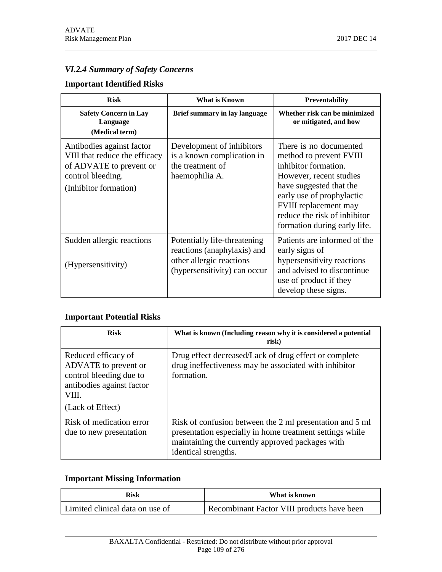# *VI.2.4 Summary of Safety Concerns*

### **Important Identified Risks**

| <b>Risk</b>                                                                                                                         | <b>What is Known</b>                                                                                                    | <b>Preventability</b>                                                                                                                                                                                                                                        |
|-------------------------------------------------------------------------------------------------------------------------------------|-------------------------------------------------------------------------------------------------------------------------|--------------------------------------------------------------------------------------------------------------------------------------------------------------------------------------------------------------------------------------------------------------|
| <b>Safety Concern in Lay</b><br>Language<br>(Medical term)                                                                          | Brief summary in lay language                                                                                           | Whether risk can be minimized<br>or mitigated, and how                                                                                                                                                                                                       |
| Antibodies against factor<br>VIII that reduce the efficacy<br>of ADVATE to prevent or<br>control bleeding.<br>(Inhibitor formation) | Development of inhibitors<br>is a known complication in<br>the treatment of<br>haemophilia A.                           | There is no documented<br>method to prevent FVIII<br>inhibitor formation.<br>However, recent studies<br>have suggested that the<br>early use of prophylactic<br><b>FVIII</b> replacement may<br>reduce the risk of inhibitor<br>formation during early life. |
| Sudden allergic reactions<br>(Hypersensitivity)                                                                                     | Potentially life-threatening<br>reactions (anaphylaxis) and<br>other allergic reactions<br>(hypersensitivity) can occur | Patients are informed of the<br>early signs of<br>hypersensitivity reactions<br>and advised to discontinue<br>use of product if they<br>develop these signs.                                                                                                 |

# **Important Potential Risks**

| <b>Risk</b>                                                                                                                      | What is known (Including reason why it is considered a potential<br>risk)                                                                                                                        |
|----------------------------------------------------------------------------------------------------------------------------------|--------------------------------------------------------------------------------------------------------------------------------------------------------------------------------------------------|
| Reduced efficacy of<br>ADVATE to prevent or<br>control bleeding due to<br>antibodies against factor<br>VIII.<br>(Lack of Effect) | Drug effect decreased/Lack of drug effect or complete<br>drug ineffectiveness may be associated with inhibitor<br>formation.                                                                     |
| Risk of medication error<br>due to new presentation                                                                              | Risk of confusion between the 2 ml presentation and 5 ml<br>presentation especially in home treatment settings while<br>maintaining the currently approved packages with<br>identical strengths. |

# **Important Missing Information**

| Risk                            | What is known                              |
|---------------------------------|--------------------------------------------|
| Limited clinical data on use of | Recombinant Factor VIII products have been |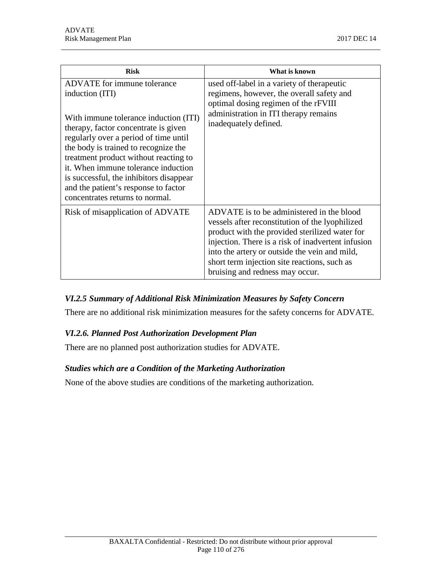| <b>Risk</b>                                                                                                                                                                                                                                                                                                                                                                                                            | What is known                                                                                                                                                                                                                                                                                                                            |
|------------------------------------------------------------------------------------------------------------------------------------------------------------------------------------------------------------------------------------------------------------------------------------------------------------------------------------------------------------------------------------------------------------------------|------------------------------------------------------------------------------------------------------------------------------------------------------------------------------------------------------------------------------------------------------------------------------------------------------------------------------------------|
| ADVATE for immune tolerance<br>induction (ITI)<br>With immune tolerance induction (ITI)<br>therapy, factor concentrate is given<br>regularly over a period of time until<br>the body is trained to recognize the<br>treatment product without reacting to<br>it. When immune tolerance induction<br>is successful, the inhibitors disappear<br>and the patient's response to factor<br>concentrates returns to normal. | used off-label in a variety of therapeutic<br>regimens, however, the overall safety and<br>optimal dosing regimen of the rFVIII<br>administration in ITI therapy remains<br>inadequately defined.                                                                                                                                        |
| Risk of misapplication of ADVATE                                                                                                                                                                                                                                                                                                                                                                                       | ADVATE is to be administered in the blood<br>vessels after reconstitution of the lyophilized<br>product with the provided sterilized water for<br>injection. There is a risk of inadvertent infusion<br>into the artery or outside the vein and mild,<br>short term injection site reactions, such as<br>bruising and redness may occur. |

# *VI.2.5 Summary of Additional Risk Minimization Measures by Safety Concern*

There are no additional risk minimization measures for the safety concerns for ADVATE.

### *VI.2.6. Planned Post Authorization Development Plan*

There are no planned post authorization studies for ADVATE.

### *Studies which are a Condition of the Marketing Authorization*

None of the above studies are conditions of the marketing authorization.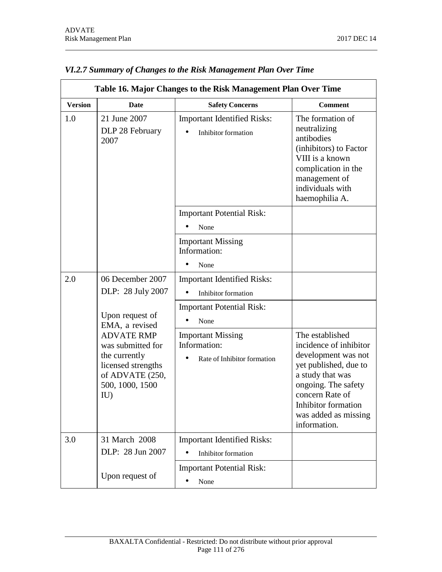| Table 16. Major Changes to the Risk Management Plan Over Time |                                                                                                                                                                |                                                                         |                                                                                                                                                                                                                        |
|---------------------------------------------------------------|----------------------------------------------------------------------------------------------------------------------------------------------------------------|-------------------------------------------------------------------------|------------------------------------------------------------------------------------------------------------------------------------------------------------------------------------------------------------------------|
| <b>Version</b>                                                | <b>Date</b>                                                                                                                                                    | <b>Safety Concerns</b>                                                  | <b>Comment</b>                                                                                                                                                                                                         |
| 1.0                                                           | 21 June 2007<br>DLP 28 February<br>2007                                                                                                                        | <b>Important Identified Risks:</b><br>Inhibitor formation               | The formation of<br>neutralizing<br>antibodies<br>(inhibitors) to Factor<br>VIII is a known<br>complication in the<br>management of<br>individuals with<br>haemophilia A.                                              |
|                                                               |                                                                                                                                                                | <b>Important Potential Risk:</b><br>None                                |                                                                                                                                                                                                                        |
|                                                               |                                                                                                                                                                | <b>Important Missing</b><br>Information:<br>None                        |                                                                                                                                                                                                                        |
| 2.0                                                           | 06 December 2007<br>DLP: 28 July 2007                                                                                                                          | <b>Important Identified Risks:</b><br>Inhibitor formation               |                                                                                                                                                                                                                        |
|                                                               | Upon request of<br>EMA, a revised<br><b>ADVATE RMP</b><br>was submitted for<br>the currently<br>licensed strengths<br>of ADVATE (250,<br>500, 1000, 1500<br>IU | <b>Important Potential Risk:</b><br>None                                |                                                                                                                                                                                                                        |
|                                                               |                                                                                                                                                                | <b>Important Missing</b><br>Information:<br>Rate of Inhibitor formation | The established<br>incidence of inhibitor<br>development was not<br>yet published, due to<br>a study that was<br>ongoing. The safety<br>concern Rate of<br>Inhibitor formation<br>was added as missing<br>information. |
| 3.0                                                           | 31 March 2008<br>DLP: 28 Jun 2007                                                                                                                              | <b>Important Identified Risks:</b><br><b>Inhibitor</b> formation        |                                                                                                                                                                                                                        |
|                                                               | Upon request of                                                                                                                                                | <b>Important Potential Risk:</b><br>None                                |                                                                                                                                                                                                                        |

# *VI.2.7 Summary of Changes to the Risk Management Plan Over Time*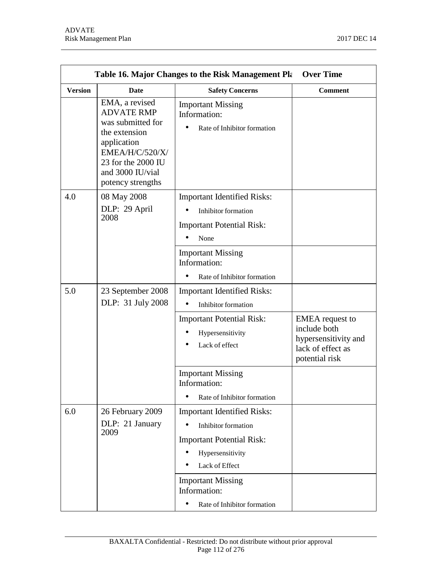| <b>Over Time</b><br>Table 16. Major Changes to the Risk Management Pla |                                                                                                                                                                            |                                                                                                                                                                                                                |                                                                                                       |  |
|------------------------------------------------------------------------|----------------------------------------------------------------------------------------------------------------------------------------------------------------------------|----------------------------------------------------------------------------------------------------------------------------------------------------------------------------------------------------------------|-------------------------------------------------------------------------------------------------------|--|
| <b>Version</b>                                                         | Date                                                                                                                                                                       | <b>Safety Concerns</b>                                                                                                                                                                                         | <b>Comment</b>                                                                                        |  |
|                                                                        | EMA, a revised<br><b>ADVATE RMP</b><br>was submitted for<br>the extension<br>application<br>EMEA/H/C/520/X/<br>23 for the 2000 IU<br>and 3000 IU/vial<br>potency strengths | <b>Important Missing</b><br>Information:<br>٠<br>Rate of Inhibitor formation                                                                                                                                   |                                                                                                       |  |
| 4.0                                                                    | 08 May 2008<br>DLP: 29 April<br>2008                                                                                                                                       | <b>Important Identified Risks:</b><br>Inhibitor formation<br><b>Important Potential Risk:</b><br>None<br><b>Important Missing</b><br>Information:<br>Rate of Inhibitor formation                               |                                                                                                       |  |
| 5.0                                                                    | 23 September 2008<br>DLP: 31 July 2008                                                                                                                                     | <b>Important Identified Risks:</b><br>Inhibitor formation                                                                                                                                                      |                                                                                                       |  |
|                                                                        |                                                                                                                                                                            | <b>Important Potential Risk:</b><br>Hypersensitivity<br>Lack of effect                                                                                                                                         | <b>EMEA</b> request to<br>include both<br>hypersensitivity and<br>lack of effect as<br>potential risk |  |
|                                                                        |                                                                                                                                                                            | <b>Important Missing</b><br>Information:<br>Rate of Inhibitor formation                                                                                                                                        |                                                                                                       |  |
| 6.0                                                                    | 26 February 2009<br>DLP: 21 January<br>2009                                                                                                                                | <b>Important Identified Risks:</b><br>Inhibitor formation<br><b>Important Potential Risk:</b><br>Hypersensitivity<br>Lack of Effect<br><b>Important Missing</b><br>Information:<br>Rate of Inhibitor formation |                                                                                                       |  |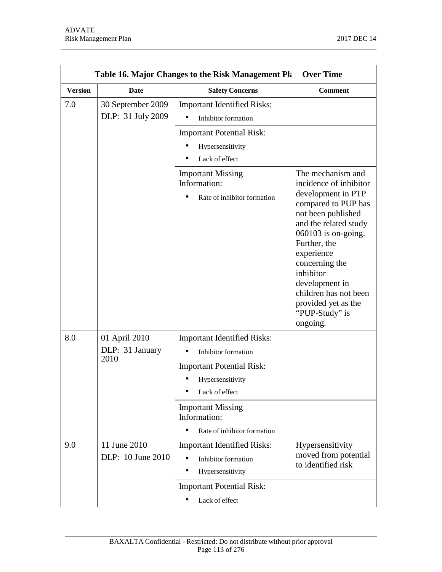| <b>Over Time</b><br>Table 16. Major Changes to the Risk Management Pla |                                          |                                                                                                                                                                                                                |                                                                                                                                                                                                                                                                                                                               |
|------------------------------------------------------------------------|------------------------------------------|----------------------------------------------------------------------------------------------------------------------------------------------------------------------------------------------------------------|-------------------------------------------------------------------------------------------------------------------------------------------------------------------------------------------------------------------------------------------------------------------------------------------------------------------------------|
| <b>Version</b>                                                         | Date                                     | <b>Safety Concerns</b>                                                                                                                                                                                         | <b>Comment</b>                                                                                                                                                                                                                                                                                                                |
| 7.0                                                                    | 30 September 2009<br>DLP: 31 July 2009   | <b>Important Identified Risks:</b><br>Inhibitor formation<br><b>Important Potential Risk:</b><br>Hypersensitivity<br>Lack of effect                                                                            |                                                                                                                                                                                                                                                                                                                               |
|                                                                        |                                          | <b>Important Missing</b><br>Information:<br>Rate of inhibitor formation                                                                                                                                        | The mechanism and<br>incidence of inhibitor<br>development in PTP<br>compared to PUP has<br>not been published<br>and the related study<br>$060103$ is on-going.<br>Further, the<br>experience<br>concerning the<br>inhibitor<br>development in<br>children has not been<br>provided yet as the<br>"PUP-Study" is<br>ongoing. |
| 8.0                                                                    | 01 April 2010<br>DLP: 31 January<br>2010 | <b>Important Identified Risks:</b><br>Inhibitor formation<br><b>Important Potential Risk:</b><br>Hypersensitivity<br>Lack of effect<br><b>Important Missing</b><br>Information:<br>Rate of inhibitor formation |                                                                                                                                                                                                                                                                                                                               |
| 9.0                                                                    | 11 June 2010<br>DLP: 10 June 2010        | <b>Important Identified Risks:</b><br>Inhibitor formation<br>Hypersensitivity<br><b>Important Potential Risk:</b><br>Lack of effect                                                                            | Hypersensitivity<br>moved from potential<br>to identified risk                                                                                                                                                                                                                                                                |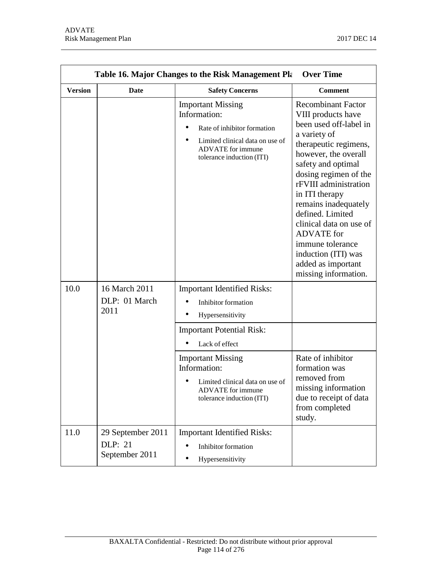| <b>Version</b> | Table 16. Major Changes to the Risk Management Pla<br><b>Safety Concerns</b><br>Date<br><b>Comment</b> |                                                                                                                                                                     |                                                                                                                                                                                                                                                                                                                                                                                                                           |  |  |
|----------------|--------------------------------------------------------------------------------------------------------|---------------------------------------------------------------------------------------------------------------------------------------------------------------------|---------------------------------------------------------------------------------------------------------------------------------------------------------------------------------------------------------------------------------------------------------------------------------------------------------------------------------------------------------------------------------------------------------------------------|--|--|
|                |                                                                                                        | <b>Important Missing</b><br>Information:<br>Rate of inhibitor formation<br>Limited clinical data on use of<br><b>ADVATE</b> for immune<br>tolerance induction (ITI) | <b>Recombinant Factor</b><br>VIII products have<br>been used off-label in<br>a variety of<br>therapeutic regimens,<br>however, the overall<br>safety and optimal<br>dosing regimen of the<br>rFVIII administration<br>in ITI therapy<br>remains inadequately<br>defined. Limited<br>clinical data on use of<br><b>ADVATE</b> for<br>immune tolerance<br>induction (ITI) was<br>added as important<br>missing information. |  |  |
| 10.0           | 16 March 2011<br>DLP: 01 March<br>2011                                                                 | <b>Important Identified Risks:</b><br>Inhibitor formation<br>Hypersensitivity<br><b>Important Potential Risk:</b><br>Lack of effect<br><b>Important Missing</b>     | Rate of inhibitor                                                                                                                                                                                                                                                                                                                                                                                                         |  |  |
|                |                                                                                                        | Information:<br>Limited clinical data on use of<br><b>ADVATE</b> for immune<br>tolerance induction (ITI)                                                            | formation was<br>removed from<br>missing information<br>due to receipt of data<br>from completed<br>study.                                                                                                                                                                                                                                                                                                                |  |  |
| 11.0           | 29 September 2011<br><b>DLP</b> : 21<br>September 2011                                                 | <b>Important Identified Risks:</b><br>Inhibitor formation<br>Hypersensitivity                                                                                       |                                                                                                                                                                                                                                                                                                                                                                                                                           |  |  |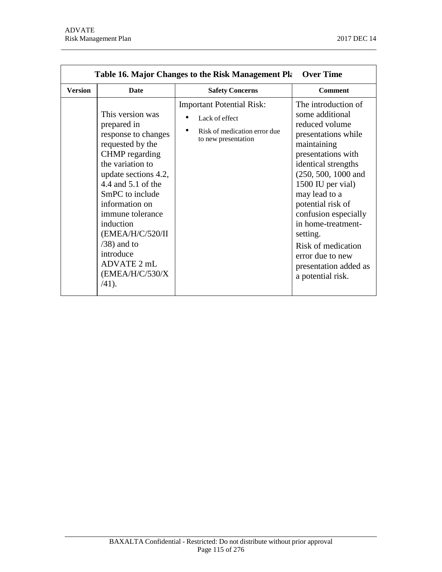| <b>Version</b> | <b>Date</b>                                                                                                                                                                                                                                                                                                                           | <b>Safety Concerns</b>                                                                                                 | <b>Comment</b>                                                                                                                                                                                                                                                                                                                                                                     |
|----------------|---------------------------------------------------------------------------------------------------------------------------------------------------------------------------------------------------------------------------------------------------------------------------------------------------------------------------------------|------------------------------------------------------------------------------------------------------------------------|------------------------------------------------------------------------------------------------------------------------------------------------------------------------------------------------------------------------------------------------------------------------------------------------------------------------------------------------------------------------------------|
|                | This version was<br>prepared in<br>response to changes<br>requested by the<br>CHMP regarding<br>the variation to<br>update sections 4.2,<br>4.4 and 5.1 of the<br>SmPC to include<br>information on<br>immune tolerance<br>induction<br>(EMEA/H/C/520/II<br>$(38)$ and to<br>introduce<br>ADVATE 2 mL<br>(EMEA/H/C/530/X)<br>$/41$ ). | <b>Important Potential Risk:</b><br>Lack of effect<br>$\bullet$<br>Risk of medication error due<br>to new presentation | The introduction of<br>some additional<br>reduced volume<br>presentations while<br>maintaining<br>presentations with<br>identical strengths<br>$(250, 500, 1000,$ and<br>1500 IU per vial)<br>may lead to a<br>potential risk of<br>confusion especially<br>in home-treatment-<br>setting.<br>Risk of medication<br>error due to new<br>presentation added as<br>a potential risk. |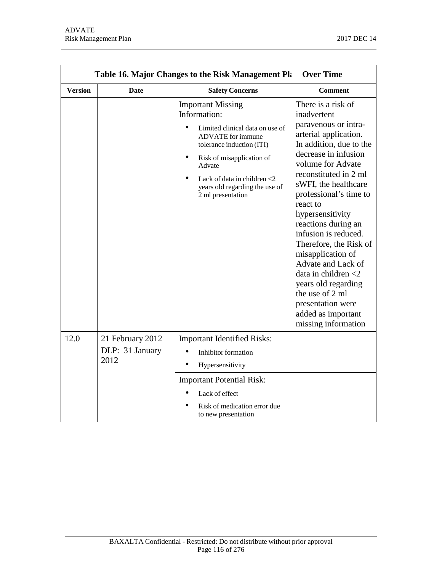| <b>Over Time</b><br>Table 16. Major Changes to the Risk Management Pla |                                             |                                                                                                                                                                                                                                                                      |                                                                                                                                                                                                                                                                                                                                                                                                                                                                                                                                 |
|------------------------------------------------------------------------|---------------------------------------------|----------------------------------------------------------------------------------------------------------------------------------------------------------------------------------------------------------------------------------------------------------------------|---------------------------------------------------------------------------------------------------------------------------------------------------------------------------------------------------------------------------------------------------------------------------------------------------------------------------------------------------------------------------------------------------------------------------------------------------------------------------------------------------------------------------------|
| <b>Version</b>                                                         | <b>Date</b>                                 | <b>Safety Concerns</b>                                                                                                                                                                                                                                               | <b>Comment</b>                                                                                                                                                                                                                                                                                                                                                                                                                                                                                                                  |
|                                                                        |                                             | <b>Important Missing</b><br>Information:<br>Limited clinical data on use of<br><b>ADVATE</b> for immune<br>tolerance induction (ITI)<br>Risk of misapplication of<br>Advate<br>Lack of data in children $<$ 2<br>years old regarding the use of<br>2 ml presentation | There is a risk of<br>inadvertent<br>paravenous or intra-<br>arterial application.<br>In addition, due to the<br>decrease in infusion<br>volume for Advate<br>reconstituted in 2 ml<br>sWFI, the healthcare<br>professional's time to<br>react to<br>hypersensitivity<br>reactions during an<br>infusion is reduced.<br>Therefore, the Risk of<br>misapplication of<br>Advate and Lack of<br>data in children $<$ 2<br>years old regarding<br>the use of 2 ml<br>presentation were<br>added as important<br>missing information |
| 12.0                                                                   | 21 February 2012<br>DLP: 31 January<br>2012 | <b>Important Identified Risks:</b><br>Inhibitor formation<br>Hypersensitivity<br><b>Important Potential Risk:</b><br>Lack of effect<br>Risk of medication error due<br>to new presentation                                                                           |                                                                                                                                                                                                                                                                                                                                                                                                                                                                                                                                 |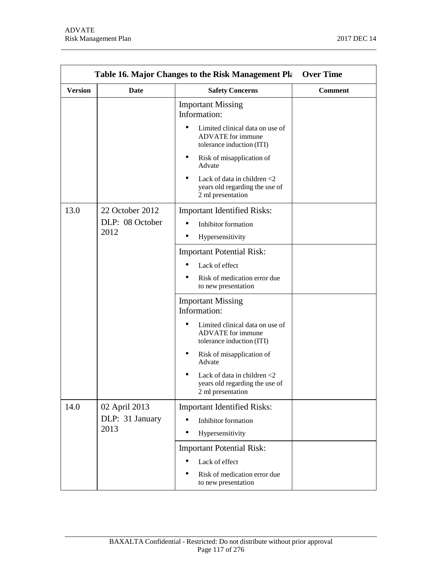|                | Table 16. Major Changes to the Risk Management Pla | <b>Over Time</b>                                                                         |                |
|----------------|----------------------------------------------------|------------------------------------------------------------------------------------------|----------------|
| <b>Version</b> | Date                                               | <b>Safety Concerns</b>                                                                   | <b>Comment</b> |
|                |                                                    | <b>Important Missing</b><br>Information:                                                 |                |
|                |                                                    | Limited clinical data on use of<br><b>ADVATE</b> for immune<br>tolerance induction (ITI) |                |
|                |                                                    | Risk of misapplication of<br>Advate                                                      |                |
|                |                                                    | Lack of data in children <2<br>years old regarding the use of<br>2 ml presentation       |                |
| 13.0           | 22 October 2012                                    | <b>Important Identified Risks:</b>                                                       |                |
|                | DLP: 08 October                                    | Inhibitor formation                                                                      |                |
|                | 2012                                               | Hypersensitivity                                                                         |                |
|                |                                                    | <b>Important Potential Risk:</b>                                                         |                |
|                |                                                    | Lack of effect                                                                           |                |
|                |                                                    | Risk of medication error due<br>to new presentation                                      |                |
|                |                                                    | <b>Important Missing</b><br>Information:                                                 |                |
|                |                                                    | Limited clinical data on use of<br><b>ADVATE</b> for immune<br>tolerance induction (ITI) |                |
|                |                                                    | Risk of misapplication of<br>Advate                                                      |                |
|                |                                                    | Lack of data in children $<$ 2<br>years old regarding the use of<br>2 ml presentation    |                |
| 14.0           | 02 April 2013<br>DLP: 31 January<br>2013           | <b>Important Identified Risks:</b>                                                       |                |
|                |                                                    | Inhibitor formation                                                                      |                |
|                |                                                    | Hypersensitivity                                                                         |                |
|                |                                                    | <b>Important Potential Risk:</b>                                                         |                |
|                |                                                    | Lack of effect                                                                           |                |
|                |                                                    | Risk of medication error due<br>to new presentation                                      |                |